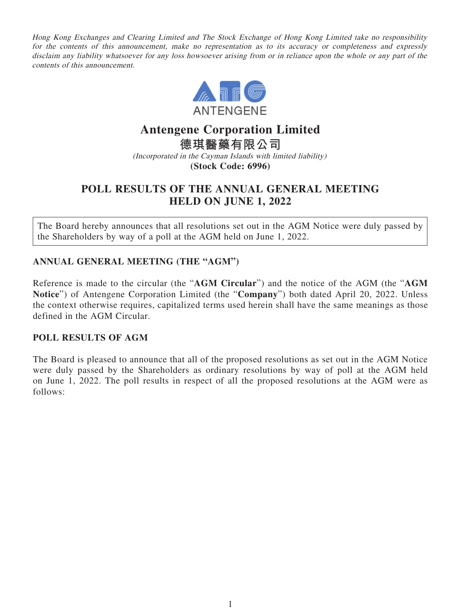Hong Kong Exchanges and Clearing Limited and The Stock Exchange of Hong Kong Limited take no responsibility for the contents of this announcement, make no representation as to its accuracy or completeness and expressly disclaim any liability whatsoever for any loss howsoever arising from or in reliance upon the whole or any part of the contents of this announcement.



# **Antengene Corporation Limited 德琪醫藥有限公司**

(Incorporated in the Cayman Islands with limited liability) **(Stock Code: 6996)**

## **POLL RESULTS OF THE ANNUAL GENERAL MEETING HELD ON JUNE 1, 2022**

The Board hereby announces that all resolutions set out in the AGM Notice were duly passed by the Shareholders by way of a poll at the AGM held on June 1, 2022.

## **ANNUAL GENERAL MEETING (THE "AGM")**

Reference is made to the circular (the "**AGM Circular**") and the notice of the AGM (the "**AGM Notice**") of Antengene Corporation Limited (the "**Company**") both dated April 20, 2022. Unless the context otherwise requires, capitalized terms used herein shall have the same meanings as those defined in the AGM Circular.

### **POLL RESULTS OF AGM**

The Board is pleased to announce that all of the proposed resolutions as set out in the AGM Notice were duly passed by the Shareholders as ordinary resolutions by way of poll at the AGM held on June 1, 2022. The poll results in respect of all the proposed resolutions at the AGM were as follows: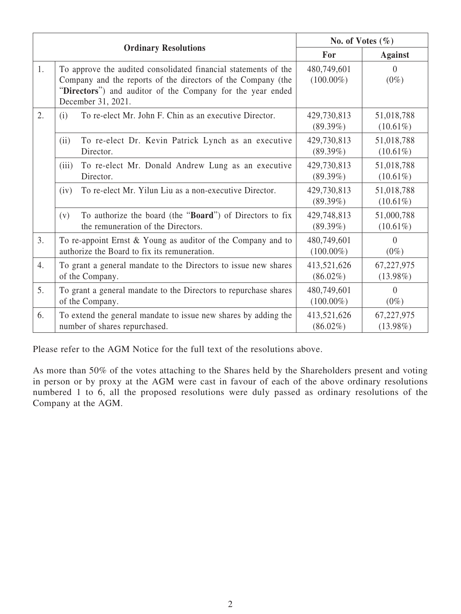| <b>Ordinary Resolutions</b> |                                                                                                                                                                                                                     | No. of Votes $(\% )$        |                           |
|-----------------------------|---------------------------------------------------------------------------------------------------------------------------------------------------------------------------------------------------------------------|-----------------------------|---------------------------|
|                             |                                                                                                                                                                                                                     | For                         | <b>Against</b>            |
| 1.                          | To approve the audited consolidated financial statements of the<br>Company and the reports of the directors of the Company (the<br>"Directors") and auditor of the Company for the year ended<br>December 31, 2021. | 480,749,601<br>$(100.00\%)$ | $\Omega$<br>$(0\%)$       |
| 2.                          | To re-elect Mr. John F. Chin as an executive Director.                                                                                                                                                              | 429,730,813                 | 51,018,788                |
|                             | (i)                                                                                                                                                                                                                 | $(89.39\%)$                 | $(10.61\%)$               |
|                             | (ii)<br>To re-elect Dr. Kevin Patrick Lynch as an executive<br>Director.                                                                                                                                            | 429,730,813<br>$(89.39\%)$  | 51,018,788<br>$(10.61\%)$ |
|                             | To re-elect Mr. Donald Andrew Lung as an executive<br>(iii)<br>Director.                                                                                                                                            | 429,730,813<br>$(89.39\%)$  | 51,018,788<br>$(10.61\%)$ |
|                             | To re-elect Mr. Yilun Liu as a non-executive Director.                                                                                                                                                              | 429,730,813                 | 51,018,788                |
|                             | (iv)                                                                                                                                                                                                                | $(89.39\%)$                 | $(10.61\%)$               |
|                             | To authorize the board (the " <b>Board</b> ") of Directors to fix<br>(v)<br>the remuneration of the Directors.                                                                                                      | 429,748,813<br>$(89.39\%)$  | 51,000,788<br>$(10.61\%)$ |
| 3.                          | To re-appoint Ernst & Young as auditor of the Company and to                                                                                                                                                        | 480,749,601                 | $\theta$                  |
|                             | authorize the Board to fix its remuneration.                                                                                                                                                                        | $(100.00\%)$                | $(0\%)$                   |
| 4.                          | To grant a general mandate to the Directors to issue new shares                                                                                                                                                     | 413,521,626                 | 67,227,975                |
|                             | of the Company.                                                                                                                                                                                                     | $(86.02\%)$                 | $(13.98\%)$               |
| 5.                          | To grant a general mandate to the Directors to repurchase shares                                                                                                                                                    | 480,749,601                 | $\theta$                  |
|                             | of the Company.                                                                                                                                                                                                     | $(100.00\%)$                | $(0\%)$                   |
| 6.                          | To extend the general mandate to issue new shares by adding the                                                                                                                                                     | 413,521,626                 | 67,227,975                |
|                             | number of shares repurchased.                                                                                                                                                                                       | $(86.02\%)$                 | $(13.98\%)$               |

Please refer to the AGM Notice for the full text of the resolutions above.

As more than 50% of the votes attaching to the Shares held by the Shareholders present and voting in person or by proxy at the AGM were cast in favour of each of the above ordinary resolutions numbered 1 to 6, all the proposed resolutions were duly passed as ordinary resolutions of the Company at the AGM.